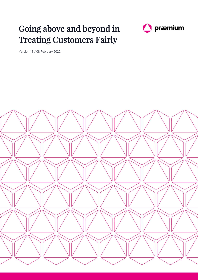## Going above and beyond in Treating Customers Fairly



Version 18 / 08 February 2022